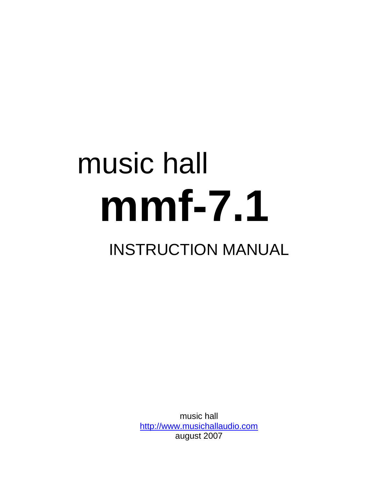# music hall **mmf-7.1**

# INSTRUCTION MANUAL

music hall [http://www.musichallaudio.com](http://www.musichallaudio.com/) august 2007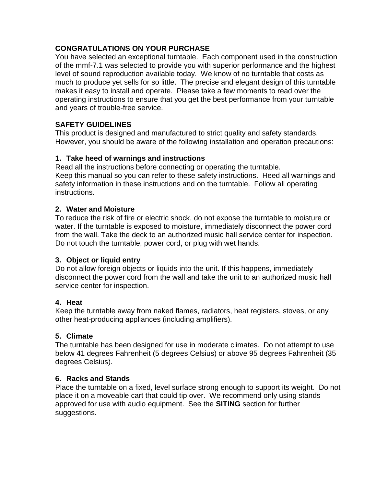# **CONGRATULATIONS ON YOUR PURCHASE**

You have selected an exceptional turntable. Each component used in the construction of the mmf-7.1 was selected to provide you with superior performance and the highest level of sound reproduction available today. We know of no turntable that costs as much to produce yet sells for so little. The precise and elegant design of this turntable makes it easy to install and operate. Please take a few moments to read over the operating instructions to ensure that you get the best performance from your turntable and years of trouble-free service.

#### **SAFETY GUIDELINES**

This product is designed and manufactured to strict quality and safety standards. However, you should be aware of the following installation and operation precautions:

#### **1. Take heed of warnings and instructions**

Read all the instructions before connecting or operating the turntable. Keep this manual so you can refer to these safety instructions. Heed all warnings and safety information in these instructions and on the turntable. Follow all operating instructions.

#### **2. Water and Moisture**

To reduce the risk of fire or electric shock, do not expose the turntable to moisture or water. If the turntable is exposed to moisture, immediately disconnect the power cord from the wall. Take the deck to an authorized music hall service center for inspection. Do not touch the turntable, power cord, or plug with wet hands.

#### **3. Object or liquid entry**

Do not allow foreign objects or liquids into the unit. If this happens, immediately disconnect the power cord from the wall and take the unit to an authorized music hall service center for inspection.

#### **4. Heat**

Keep the turntable away from naked flames, radiators, heat registers, stoves, or any other heat-producing appliances (including amplifiers).

#### **5. Climate**

The turntable has been designed for use in moderate climates. Do not attempt to use below 41 degrees Fahrenheit (5 degrees Celsius) or above 95 degrees Fahrenheit (35 degrees Celsius).

#### **6. Racks and Stands**

Place the turntable on a fixed, level surface strong enough to support its weight. Do not place it on a moveable cart that could tip over. We recommend only using stands approved for use with audio equipment. See the **SITING** section for further suggestions.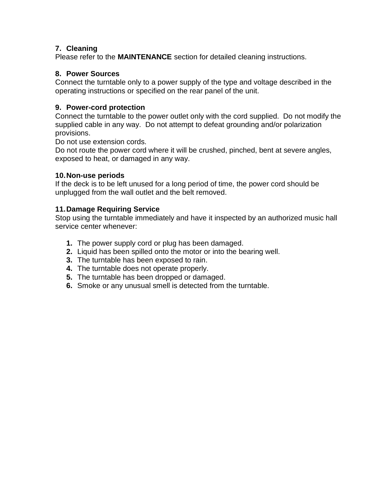# **7. Cleaning**

Please refer to the **MAINTENANCE** section for detailed cleaning instructions.

#### **8. Power Sources**

Connect the turntable only to a power supply of the type and voltage described in the operating instructions or specified on the rear panel of the unit.

## **9. Power-cord protection**

Connect the turntable to the power outlet only with the cord supplied. Do not modify the supplied cable in any way. Do not attempt to defeat grounding and/or polarization provisions.

Do not use extension cords.

Do not route the power cord where it will be crushed, pinched, bent at severe angles, exposed to heat, or damaged in any way.

#### **10.Non-use periods**

If the deck is to be left unused for a long period of time, the power cord should be unplugged from the wall outlet and the belt removed.

#### **11.Damage Requiring Service**

Stop using the turntable immediately and have it inspected by an authorized music hall service center whenever:

- **1.** The power supply cord or plug has been damaged.
- **2.** Liquid has been spilled onto the motor or into the bearing well.
- **3.** The turntable has been exposed to rain.
- **4.** The turntable does not operate properly.
- **5.** The turntable has been dropped or damaged.
- **6.** Smoke or any unusual smell is detected from the turntable.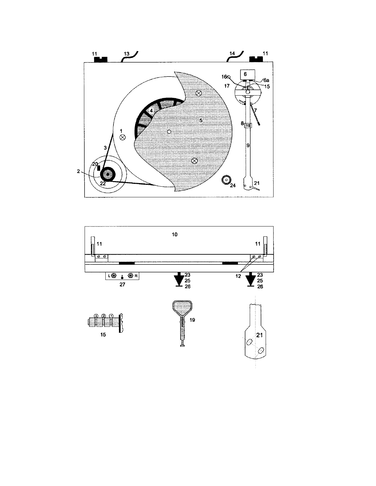

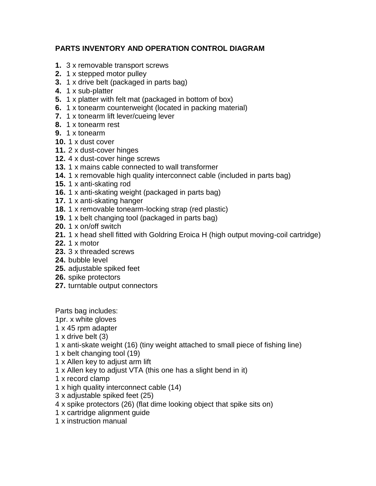# **PARTS INVENTORY AND OPERATION CONTROL DIAGRAM**

- **1.** 3 x removable transport screws
- **2.** 1 x stepped motor pulley
- **3.** 1 x drive belt (packaged in parts bag)
- **4.** 1 x sub-platter
- **5.** 1 x platter with felt mat (packaged in bottom of box)
- **6.** 1 x tonearm counterweight (located in packing material)
- **7.** 1 x tonearm lift lever/cueing lever
- **8.** 1 x tonearm rest
- **9.** 1 x tonearm
- **10.** 1 x dust cover
- **11.** 2 x dust-cover hinges
- **12.** 4 x dust-cover hinge screws
- **13.** 1 x mains cable connected to wall transformer
- **14.** 1 x removable high quality interconnect cable (included in parts bag)
- **15.** 1 x anti-skating rod
- **16.** 1 x anti-skating weight (packaged in parts bag)
- **17.** 1 x anti-skating hanger
- **18.** 1 x removable tonearm-locking strap (red plastic)
- **19.** 1 x belt changing tool (packaged in parts bag)
- **20.** 1 x on/off switch
- **21.** 1 x head shell fitted with Goldring Eroica H (high output moving-coil cartridge)
- **22.** 1 x motor
- **23.** 3 x threaded screws
- **24.** bubble level
- **25.** adjustable spiked feet
- **26.** spike protectors
- **27.** turntable output connectors

Parts bag includes:

- 1pr. x white gloves
- 1 x 45 rpm adapter
- 1 x drive belt (3)
- 1 x anti-skate weight (16) (tiny weight attached to small piece of fishing line)
- 1 x belt changing tool (19)
- 1 x Allen key to adjust arm lift
- 1 x Allen key to adjust VTA (this one has a slight bend in it)
- 1 x record clamp
- 1 x high quality interconnect cable (14)
- 3 x adjustable spiked feet (25)
- 4 x spike protectors (26) (flat dime looking object that spike sits on)
- 1 x cartridge alignment guide
- 1 x instruction manual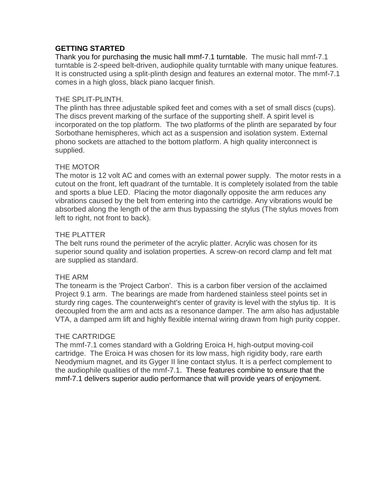# **GETTING STARTED**

Thank you for purchasing the music hall mmf-7.1 turntable. The music hall mmf-7.1 turntable is 2-speed belt-driven, audiophile quality turntable with many unique features. It is constructed using a split-plinth design and features an external motor. The mmf-7.1 comes in a high gloss, black piano lacquer finish.

#### THE SPLIT-PLINTH.

The plinth has three adjustable spiked feet and comes with a set of small discs (cups). The discs prevent marking of the surface of the supporting shelf. A spirit level is incorporated on the top platform. The two platforms of the plinth are separated by four Sorbothane hemispheres, which act as a suspension and isolation system. External phono sockets are attached to the bottom platform. A high quality interconnect is supplied.

#### THE MOTOR

The motor is 12 volt AC and comes with an external power supply. The motor rests in a cutout on the front, left quadrant of the turntable. It is completely isolated from the table and sports a blue LED. Placing the motor diagonally opposite the arm reduces any vibrations caused by the belt from entering into the cartridge. Any vibrations would be absorbed along the length of the arm thus bypassing the stylus (The stylus moves from left to right, not front to back).

#### THE PLATTER

The belt runs round the perimeter of the acrylic platter. Acrylic was chosen for its superior sound quality and isolation properties. A screw-on record clamp and felt mat are supplied as standard.

#### THE ARM

The tonearm is the 'Project Carbon'. This is a carbon fiber version of the acclaimed Project 9.1 arm. The bearings are made from hardened stainless steel points set in sturdy ring cages. The counterweight's center of gravity is level with the stylus tip. It is decoupled from the arm and acts as a resonance damper. The arm also has adjustable VTA, a damped arm lift and highly flexible internal wiring drawn from high purity copper.

#### THE CARTRIDGE

The mmf-7.1 comes standard with a Goldring Eroica H, high-output moving-coil cartridge. The Eroica H was chosen for its low mass, high rigidity body, rare earth Neodymium magnet, and its Gyger II line contact stylus. It is a perfect complement to the audiophile qualities of the mmf-7.1. These features combine to ensure that the mmf-7.1 delivers superior audio performance that will provide years of enjoyment.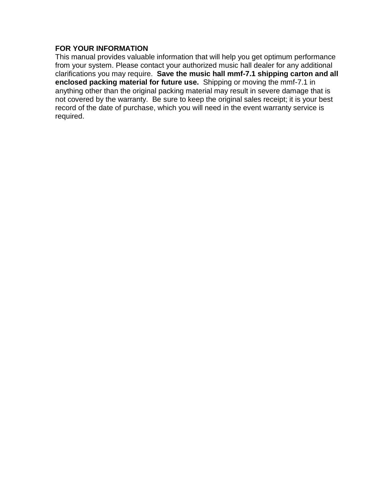#### **FOR YOUR INFORMATION**

This manual provides valuable information that will help you get optimum performance from your system. Please contact your authorized music hall dealer for any additional clarifications you may require. **Save the music hall mmf-7.1 shipping carton and all enclosed packing material for future use.** Shipping or moving the mmf-7.1 in anything other than the original packing material may result in severe damage that is not covered by the warranty. Be sure to keep the original sales receipt; it is your best record of the date of purchase, which you will need in the event warranty service is required.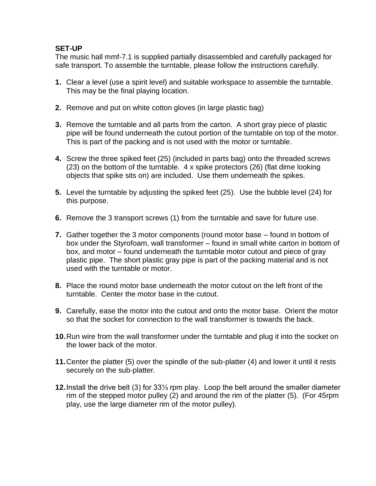#### **SET-UP**

The music hall mmf-7.1 is supplied partially disassembled and carefully packaged for safe transport. To assemble the turntable, please follow the instructions carefully.

- **1.** Clear a level (use a spirit level) and suitable workspace to assemble the turntable. This may be the final playing location.
- **2.** Remove and put on white cotton gloves (in large plastic bag)
- **3.** Remove the turntable and all parts from the carton. A short gray piece of plastic pipe will be found underneath the cutout portion of the turntable on top of the motor. This is part of the packing and is not used with the motor or turntable.
- **4.** Screw the three spiked feet (25) (included in parts bag) onto the threaded screws (23) on the bottom of the turntable. 4 x spike protectors (26) (flat dime looking objects that spike sits on) are included. Use them underneath the spikes.
- **5.** Level the turntable by adjusting the spiked feet (25). Use the bubble level (24) for this purpose.
- **6.** Remove the 3 transport screws (1) from the turntable and save for future use.
- **7.** Gather together the 3 motor components (round motor base found in bottom of box under the Styrofoam, wall transformer – found in small white carton in bottom of box, and motor – found underneath the turntable motor cutout and piece of gray plastic pipe. The short plastic gray pipe is part of the packing material and is not used with the turntable or motor.
- **8.** Place the round motor base underneath the motor cutout on the left front of the turntable. Center the motor base in the cutout.
- **9.** Carefully, ease the motor into the cutout and onto the motor base. Orient the motor so that the socket for connection to the wall transformer is towards the back.
- **10.**Run wire from the wall transformer under the turntable and plug it into the socket on the lower back of the motor.
- **11.**Center the platter (5) over the spindle of the sub-platter (4) and lower it until it rests securely on the sub-platter.
- **12.**Install the drive belt (3) for 33⅓ rpm play. Loop the belt around the smaller diameter rim of the stepped motor pulley (2) and around the rim of the platter (5). (For 45rpm play, use the large diameter rim of the motor pulley).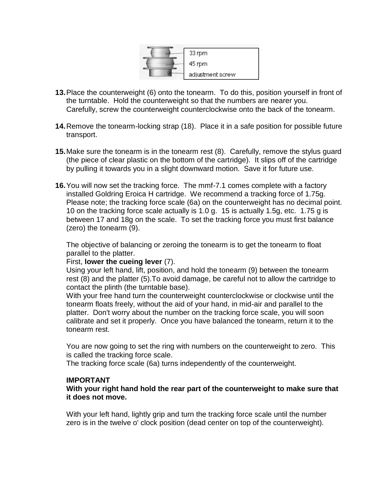

- **13.**Place the counterweight (6) onto the tonearm. To do this, position yourself in front of the turntable. Hold the counterweight so that the numbers are nearer you. Carefully, screw the counterweight counterclockwise onto the back of the tonearm.
- **14.**Remove the tonearm-locking strap (18). Place it in a safe position for possible future transport.
- **15.**Make sure the tonearm is in the tonearm rest (8). Carefully, remove the stylus guard (the piece of clear plastic on the bottom of the cartridge). It slips off of the cartridge by pulling it towards you in a slight downward motion. Save it for future use.
- **16.**You will now set the tracking force. The mmf-7.1 comes complete with a factory installed Goldring Eroica H cartridge. We recommend a tracking force of 1.75g. Please note; the tracking force scale (6a) on the counterweight has no decimal point. 10 on the tracking force scale actually is 1.0 g. 15 is actually 1.5g, etc. 1.75 g is between 17 and 18g on the scale. To set the tracking force you must first balance (zero) the tonearm (9).

The objective of balancing or zeroing the tonearm is to get the tonearm to float parallel to the platter.

#### First, **lower the cueing lever** (7).

Using your left hand, lift, position, and hold the tonearm (9) between the tonearm rest (8) and the platter (5).To avoid damage, be careful not to allow the cartridge to contact the plinth (the turntable base).

With your free hand turn the counterweight counterclockwise or clockwise until the tonearm floats freely, without the aid of your hand, in mid-air and parallel to the platter. Don't worry about the number on the tracking force scale, you will soon calibrate and set it properly. Once you have balanced the tonearm, return it to the tonearm rest.

You are now going to set the ring with numbers on the counterweight to zero. This is called the tracking force scale.

The tracking force scale (6a) turns independently of the counterweight.

#### **IMPORTANT**

**With your right hand hold the rear part of the counterweight to make sure that it does not move.** 

With your left hand, lightly grip and turn the tracking force scale until the number zero is in the twelve o' clock position (dead center on top of the counterweight).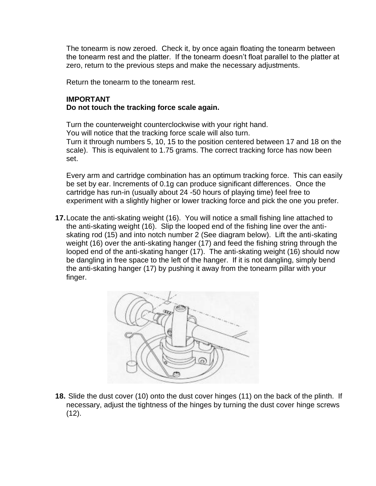The tonearm is now zeroed. Check it, by once again floating the tonearm between the tonearm rest and the platter. If the tonearm doesn't float parallel to the platter at zero, return to the previous steps and make the necessary adjustments.

Return the tonearm to the tonearm rest.

#### **IMPORTANT Do not touch the tracking force scale again.**

Turn the counterweight counterclockwise with your right hand. You will notice that the tracking force scale will also turn. Turn it through numbers 5, 10, 15 to the position centered between 17 and 18 on the scale). This is equivalent to 1.75 grams. The correct tracking force has now been set.

Every arm and cartridge combination has an optimum tracking force. This can easily be set by ear. Increments of 0.1g can produce significant differences. Once the cartridge has run-in (usually about 24 -50 hours of playing time) feel free to experiment with a slightly higher or lower tracking force and pick the one you prefer.

**17.**Locate the anti-skating weight (16). You will notice a small fishing line attached to the anti-skating weight (16). Slip the looped end of the fishing line over the antiskating rod (15) and into notch number 2 (See diagram below). Lift the anti-skating weight (16) over the anti-skating hanger (17) and feed the fishing string through the looped end of the anti-skating hanger (17). The anti-skating weight (16) should now be dangling in free space to the left of the hanger. If it is not dangling, simply bend the anti-skating hanger (17) by pushing it away from the tonearm pillar with your finger.



**18.** Slide the dust cover (10) onto the dust cover hinges (11) on the back of the plinth. If necessary, adjust the tightness of the hinges by turning the dust cover hinge screws (12).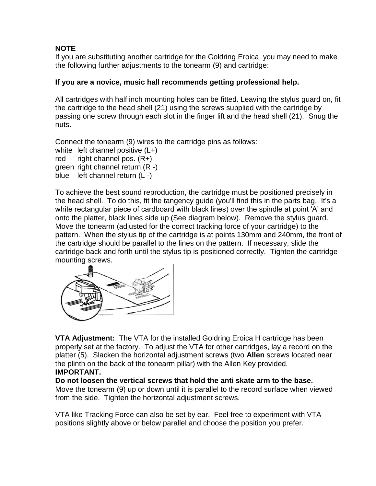# **NOTE**

If you are substituting another cartridge for the Goldring Eroica, you may need to make the following further adjustments to the tonearm (9) and cartridge:

# **If you are a novice, music hall recommends getting professional help.**

All cartridges with half inch mounting holes can be fitted. Leaving the stylus guard on, fit the cartridge to the head shell (21) using the screws supplied with the cartridge by passing one screw through each slot in the finger lift and the head shell (21). Snug the nuts.

Connect the tonearm (9) wires to the cartridge pins as follows:

white left channel positive (L+) red right channel pos. (R+)

green right channel return (R -)

blue left channel return (L -)

To achieve the best sound reproduction, the cartridge must be positioned precisely in the head shell. To do this, fit the tangency guide (you'll find this in the parts bag. It's a white rectangular piece of cardboard with black lines) over the spindle at point 'A' and onto the platter, black lines side up (See diagram below). Remove the stylus guard. Move the tonearm (adjusted for the correct tracking force of your cartridge) to the pattern. When the stylus tip of the cartridge is at points 130mm and 240mm, the front of the cartridge should be parallel to the lines on the pattern. If necessary, slide the cartridge back and forth until the stylus tip is positioned correctly. Tighten the cartridge mounting screws.



**VTA Adjustment:** The VTA for the installed Goldring Eroica H cartridge has been properly set at the factory. To adjust the VTA for other cartridges, lay a record on the platter (5). Slacken the horizontal adjustment screws (two **Allen** screws located near the plinth on the back of the tonearm pillar) with the Allen Key provided. **IMPORTANT.** 

**Do not loosen the vertical screws that hold the anti skate arm to the base.**

Move the tonearm (9) up or down until it is parallel to the record surface when viewed from the side. Tighten the horizontal adjustment screws.

VTA like Tracking Force can also be set by ear. Feel free to experiment with VTA positions slightly above or below parallel and choose the position you prefer.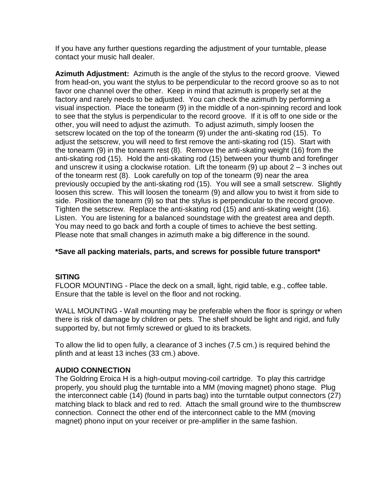If you have any further questions regarding the adjustment of your turntable, please contact your music hall dealer.

**Azimuth Adjustment:** Azimuth is the angle of the stylus to the record groove. Viewed from head-on, you want the stylus to be perpendicular to the record groove so as to not favor one channel over the other. Keep in mind that azimuth is properly set at the factory and rarely needs to be adjusted. You can check the azimuth by performing a visual inspection. Place the tonearm (9) in the middle of a non-spinning record and look to see that the stylus is perpendicular to the record groove. If it is off to one side or the other, you will need to adjust the azimuth. To adjust azimuth, simply loosen the setscrew located on the top of the tonearm (9) under the anti-skating rod (15). To adjust the setscrew, you will need to first remove the anti-skating rod (15). Start with the tonearm (9) in the tonearm rest (8). Remove the anti-skating weight (16) from the anti-skating rod (15). Hold the anti-skating rod (15) between your thumb and forefinger and unscrew it using a clockwise rotation. Lift the tonearm  $(9)$  up about  $2 - 3$  inches out of the tonearm rest (8). Look carefully on top of the tonearm (9) near the area previously occupied by the anti-skating rod (15). You will see a small setscrew. Slightly loosen this screw. This will loosen the tonearm (9) and allow you to twist it from side to side. Position the tonearm (9) so that the stylus is perpendicular to the record groove. Tighten the setscrew. Replace the anti-skating rod (15) and anti-skating weight (16). Listen. You are listening for a balanced soundstage with the greatest area and depth. You may need to go back and forth a couple of times to achieve the best setting. Please note that small changes in azimuth make a big difference in the sound.

# **\*Save all packing materials, parts, and screws for possible future transport\***

#### **SITING**

FLOOR MOUNTING - Place the deck on a small, light, rigid table, e.g., coffee table. Ensure that the table is level on the floor and not rocking.

WALL MOUNTING - Wall mounting may be preferable when the floor is springy or when there is risk of damage by children or pets. The shelf should be light and rigid, and fully supported by, but not firmly screwed or glued to its brackets.

To allow the lid to open fully, a clearance of 3 inches (7.5 cm.) is required behind the plinth and at least 13 inches (33 cm.) above.

#### **AUDIO CONNECTION**

The Goldring Eroica H is a high-output moving-coil cartridge. To play this cartridge properly, you should plug the turntable into a MM (moving magnet) phono stage. Plug the interconnect cable (14) (found in parts bag) into the turntable output connectors (27) matching black to black and red to red. Attach the small ground wire to the thumbscrew connection. Connect the other end of the interconnect cable to the MM (moving magnet) phono input on your receiver or pre-amplifier in the same fashion.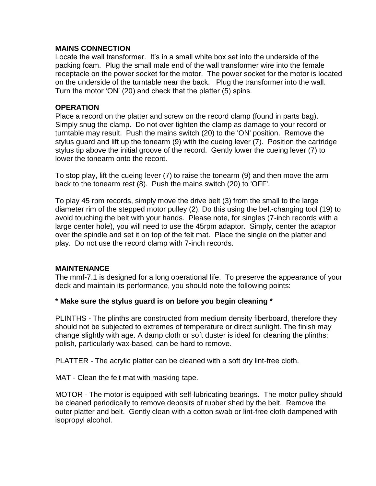#### **MAINS CONNECTION**

Locate the wall transformer. It's in a small white box set into the underside of the packing foam. Plug the small male end of the wall transformer wire into the female receptacle on the power socket for the motor. The power socket for the motor is located on the underside of the turntable near the back. Plug the transformer into the wall. Turn the motor 'ON' (20) and check that the platter (5) spins.

#### **OPERATION**

Place a record on the platter and screw on the record clamp (found in parts bag). Simply snug the clamp. Do not over tighten the clamp as damage to your record or turntable may result. Push the mains switch (20) to the 'ON' position. Remove the stylus guard and lift up the tonearm (9) with the cueing lever (7). Position the cartridge stylus tip above the initial groove of the record. Gently lower the cueing lever (7) to lower the tonearm onto the record.

To stop play, lift the cueing lever (7) to raise the tonearm (9) and then move the arm back to the tonearm rest (8). Push the mains switch (20) to 'OFF'.

To play 45 rpm records, simply move the drive belt (3) from the small to the large diameter rim of the stepped motor pulley (2). Do this using the belt-changing tool (19) to avoid touching the belt with your hands. Please note, for singles (7-inch records with a large center hole), you will need to use the 45rpm adaptor. Simply, center the adaptor over the spindle and set it on top of the felt mat. Place the single on the platter and play. Do not use the record clamp with 7-inch records.

# **MAINTENANCE**

The mmf-7.1 is designed for a long operational life. To preserve the appearance of your deck and maintain its performance, you should note the following points:

#### **\* Make sure the stylus guard is on before you begin cleaning \***

PLINTHS - The plinths are constructed from medium density fiberboard, therefore they should not be subjected to extremes of temperature or direct sunlight. The finish may change slightly with age. A damp cloth or soft duster is ideal for cleaning the plinths: polish, particularly wax-based, can be hard to remove.

PLATTER - The acrylic platter can be cleaned with a soft dry lint-free cloth.

MAT - Clean the felt mat with masking tape.

MOTOR - The motor is equipped with self-lubricating bearings. The motor pulley should be cleaned periodically to remove deposits of rubber shed by the belt. Remove the outer platter and belt. Gently clean with a cotton swab or lint-free cloth dampened with isopropyl alcohol.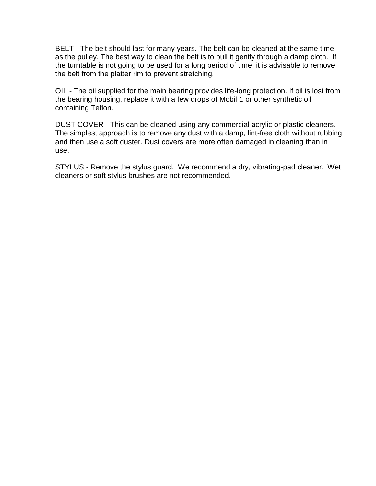BELT - The belt should last for many years. The belt can be cleaned at the same time as the pulley. The best way to clean the belt is to pull it gently through a damp cloth. If the turntable is not going to be used for a long period of time, it is advisable to remove the belt from the platter rim to prevent stretching.

OIL - The oil supplied for the main bearing provides life-long protection. If oil is lost from the bearing housing, replace it with a few drops of Mobil 1 or other synthetic oil containing Teflon.

DUST COVER - This can be cleaned using any commercial acrylic or plastic cleaners. The simplest approach is to remove any dust with a damp, lint-free cloth without rubbing and then use a soft duster. Dust covers are more often damaged in cleaning than in use.

STYLUS - Remove the stylus guard. We recommend a dry, vibrating-pad cleaner. Wet cleaners or soft stylus brushes are not recommended.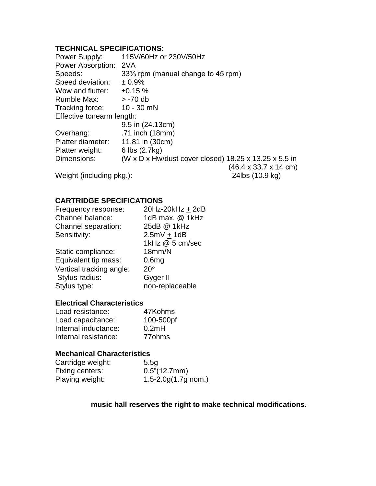# **TECHNICAL SPECIFICATIONS:**

| Power Supply:             | 115V/60Hz or 230V/50Hz                                |                                           |
|---------------------------|-------------------------------------------------------|-------------------------------------------|
| Power Absorption:         | 2VA                                                   |                                           |
| Speeds:                   | 33 <sup>1/3</sup> rpm (manual change to 45 rpm)       |                                           |
| Speed deviation:          | ± 0.9%                                                |                                           |
| Wow and flutter:          | ±0.15%                                                |                                           |
| Rumble Max:               | $> -70$ db                                            |                                           |
| Tracking force:           | $10 - 30$ mN                                          |                                           |
| Effective tonearm length: |                                                       |                                           |
|                           | 9.5 in (24.13cm)                                      |                                           |
| Overhang:                 | .71 inch (18mm)                                       |                                           |
| Platter diameter:         | 11.81 in (30cm)                                       |                                           |
| Platter weight:           | 6 lbs (2.7kg)                                         |                                           |
| Dimensions:               | (W x D x Hw/dust cover closed) 18.25 x 13.25 x 5.5 in |                                           |
|                           |                                                       | $(46.4 \times 33.7 \times 14 \text{ cm})$ |
| Weight (including pkg.):  |                                                       | 24lbs (10.9 kg)                           |

# **CARTRIDGE SPECIFICATIONS**

| 20Hz-20kHz + 2dB  |
|-------------------|
| 1dB max. @ 1kHz   |
| 25dB @ 1kHz       |
| $2.5mV + 1dB$     |
| 1kHz @ 5 cm/sec   |
| 18mm/N            |
| 0.6 <sub>mg</sub> |
| $20^{\circ}$      |
| Gyger II          |
| non-replaceable   |
|                   |

#### **Electrical Characteristics**

| 47Kohms            |
|--------------------|
| 100-500pf          |
| 0.2mH              |
| 77 <sub>ohms</sub> |
|                    |

# **Mechanical Characteristics**

| Cartridge weight: | 5.5q                            |
|-------------------|---------------------------------|
| Fixing centers:   | 0.5" (12.7mm)                   |
| Playing weight:   | $1.5 - 2.0g(1.7g \text{ nom.})$ |

# **music hall reserves the right to make technical modifications.**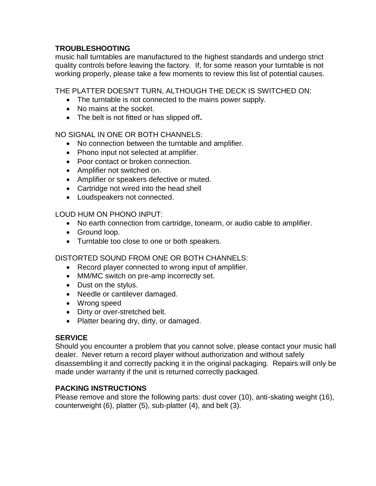# **TROUBLESHOOTING**

music hall turntables are manufactured to the highest standards and undergo strict quality controls before leaving the factory. If, for some reason your turntable is not working properly, please take a few moments to review this list of potential causes.

THE PLATTER DOESN'T TURN, ALTHOUGH THE DECK IS SWITCHED ON:

- The turntable is not connected to the mains power supply.
- No mains at the socket.
- The belt is not fitted or has slipped off**.**

#### NO SIGNAL IN ONE OR BOTH CHANNELS:

- No connection between the turntable and amplifier.
- Phono input not selected at amplifier.
- Poor contact or broken connection.
- Amplifier not switched on.
- Amplifier or speakers defective or muted.
- Cartridge not wired into the head shell
- Loudspeakers not connected.

LOUD HUM ON PHONO INPUT:

- No earth connection from cartridge, tonearm, or audio cable to amplifier.
- Ground loop.
- Turntable too close to one or both speakers.

# DISTORTED SOUND FROM ONE OR BOTH CHANNELS:

- Record player connected to wrong input of amplifier.
- MM/MC switch on pre-amp incorrectly set.
- Dust on the stylus.
- Needle or cantilever damaged.
- Wrong speed
- Dirty or over-stretched belt.
- Platter bearing dry, dirty, or damaged.

#### **SERVICE**

Should you encounter a problem that you cannot solve, please contact your music hall dealer. Never return a record player without authorization and without safely disassembling it and correctly packing it in the original packaging. Repairs will only be made under warranty if the unit is returned correctly packaged.

# **PACKING INSTRUCTIONS**

Please remove and store the following parts: dust cover (10), anti-skating weight (16), counterweight (6), platter (5), sub-platter (4), and belt (3).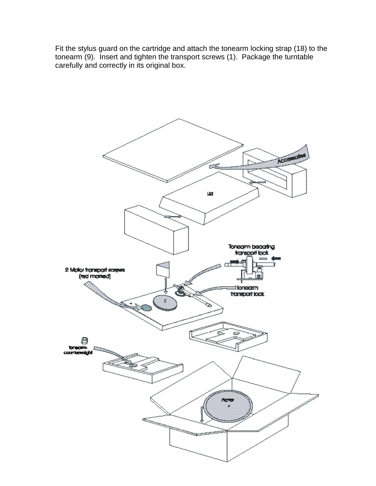Fit the stylus guard on the cartridge and attach the tonearm locking strap (18) to the tonearm (9). Insert and tighten the transport screws (1). Package the turntable carefully and correctly in its original box.